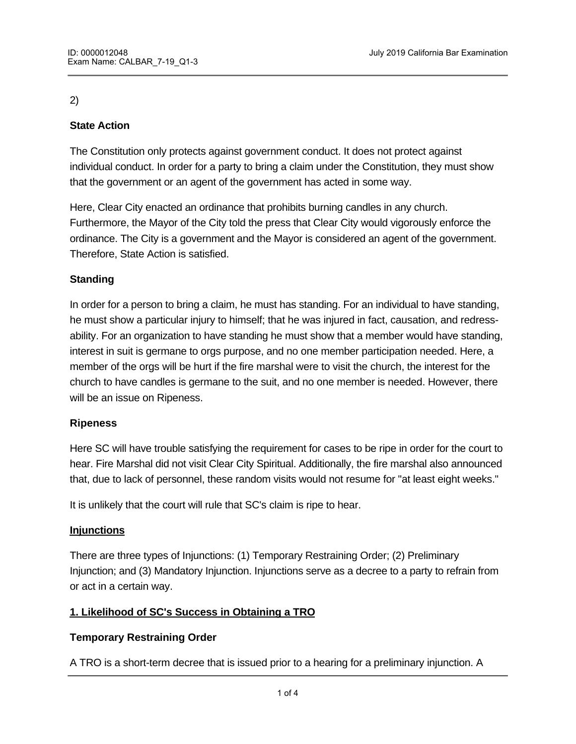## 2)

## **State Action**

The Constitution only protects against government conduct. It does not protect against individual conduct. In order for a party to bring a claim under the Constitution, they must show that the government or an agent of the government has acted in some way.

Here, Clear City enacted an ordinance that prohibits burning candles in any church. Furthermore, the Mayor of the City told the press that Clear City would vigorously enforce the ordinance. The City is a government and the Mayor is considered an agent of the government. Therefore, State Action is satisfied.

## **Standing**

In order for a person to bring a claim, he must has standing. For an individual to have standing, he must show a particular injury to himself; that he was injured in fact, causation, and redressability. For an organization to have standing he must show that a member would have standing, interest in suit is germane to orgs purpose, and no one member participation needed. Here, a member of the orgs will be hurt if the fire marshal were to visit the church, the interest for the church to have candles is germane to the suit, and no one member is needed. However, there will be an issue on Ripeness.

#### **Ripeness**

Here SC will have trouble satisfying the requirement for cases to be ripe in order for the court to hear. Fire Marshal did not visit Clear City Spiritual. Additionally, the fire marshal also announced that, due to lack of personnel, these random visits would not resume for "at least eight weeks."

It is unlikely that the court will rule that SC's claim is ripe to hear.

#### **Injunctions**

There are three types of Injunctions: (1) Temporary Restraining Order; (2) Preliminary Injunction; and (3) Mandatory Injunction. Injunctions serve as a decree to a party to refrain from or act in a certain way.

## **1. Likelihood of SC's Success in Obtaining a TRO**

## **Temporary Restraining Order**

A TRO is a short-term decree that is issued prior to a hearing for a preliminary injunction. A Tro typically is valid for about 10-14 days. Generally, notice is required for an injunction but  $\alpha$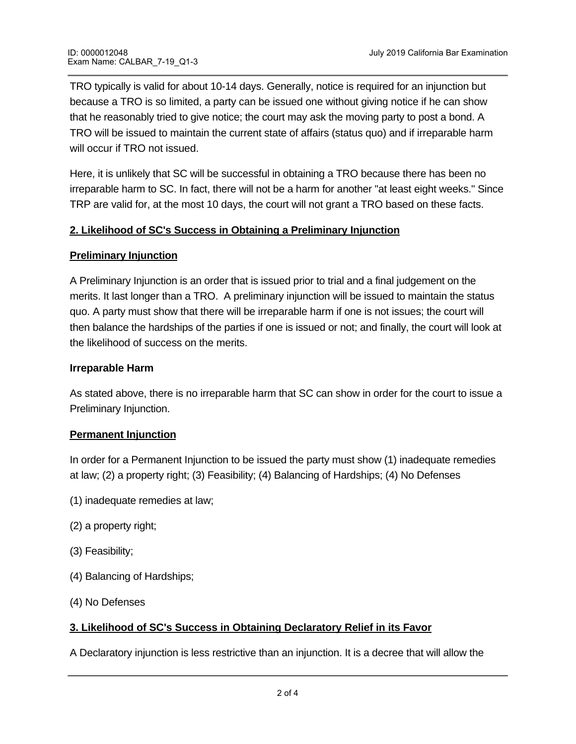TRO typically is valid for about 10-14 days. Generally, notice is required for an injunction but because a TRO is so limited, a party can be issued one without giving notice if he can show that he reasonably tried to give notice; the court may ask the moving party to post a bond. A TRO will be issued to maintain the current state of affairs (status quo) and if irreparable harm will occur if TRO not issued.

Here, it is unlikely that SC will be successful in obtaining a TRO because there has been no irreparable harm to SC. In fact, there will not be a harm for another "at least eight weeks." Since TRP are valid for, at the most 10 days, the court will not grant a TRO based on these facts.

## **2. Likelihood of SC's Success in Obtaining a Preliminary Injunction**

#### **Preliminary Injunction**

A Preliminary Injunction is an order that is issued prior to trial and a final judgement on the merits. It last longer than a TRO. A preliminary injunction will be issued to maintain the status quo. A party must show that there will be irreparable harm if one is not issues; the court will then balance the hardships of the parties if one is issued or not; and finally, the court will look at the likelihood of success on the merits.

#### **Irreparable Harm**

As stated above, there is no irreparable harm that SC can show in order for the court to issue a Preliminary Injunction.

#### **Permanent Injunction**

In order for a Permanent Injunction to be issued the party must show (1) inadequate remedies at law; (2) a property right; (3) Feasibility; (4) Balancing of Hardships; (4) No Defenses

- (1) inadequate remedies at law;
- (2) a property right;
- (3) Feasibility;
- (4) Balancing of Hardships;
- (4) No Defenses

# **3. Likelihood of SC's Success in Obtaining Declaratory Relief in its Favor**

A Declaratory injunction is less restrictive than an injunction. It is a decree that will allow the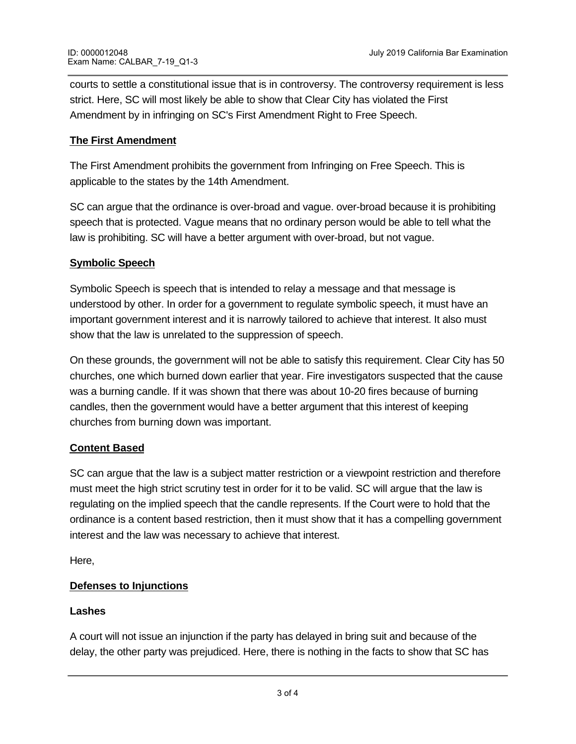courts to settle a constitutional issue that is in controversy. The controversy requirement is less strict. Here, SC will most likely be able to show that Clear City has violated the First Amendment by in infringing on SC's First Amendment Right to Free Speech.

## **The First Amendment**

The First Amendment prohibits the government from Infringing on Free Speech. This is applicable to the states by the 14th Amendment.

SC can argue that the ordinance is over-broad and vague. over-broad because it is prohibiting speech that is protected. Vague means that no ordinary person would be able to tell what the law is prohibiting. SC will have a better argument with over-broad, but not vague.

## **Symbolic Speech**

Symbolic Speech is speech that is intended to relay a message and that message is understood by other. In order for a government to regulate symbolic speech, it must have an important government interest and it is narrowly tailored to achieve that interest. It also must show that the law is unrelated to the suppression of speech.

On these grounds, the government will not be able to satisfy this requirement. Clear City has 50 churches, one which burned down earlier that year. Fire investigators suspected that the cause was a burning candle. If it was shown that there was about 10-20 fires because of burning candles, then the government would have a better argument that this interest of keeping churches from burning down was important.

# **Content Based**

SC can argue that the law is a subject matter restriction or a viewpoint restriction and therefore must meet the high strict scrutiny test in order for it to be valid. SC will argue that the law is regulating on the implied speech that the candle represents. If the Court were to hold that the ordinance is a content based restriction, then it must show that it has a compelling government interest and the law was necessary to achieve that interest.

Here,

# **Defenses to Injunctions**

## **Lashes**

A court will not issue an injunction if the party has delayed in bring suit and because of the delay, the other party was prejudiced. Here, there is nothing in the facts to show that SC has